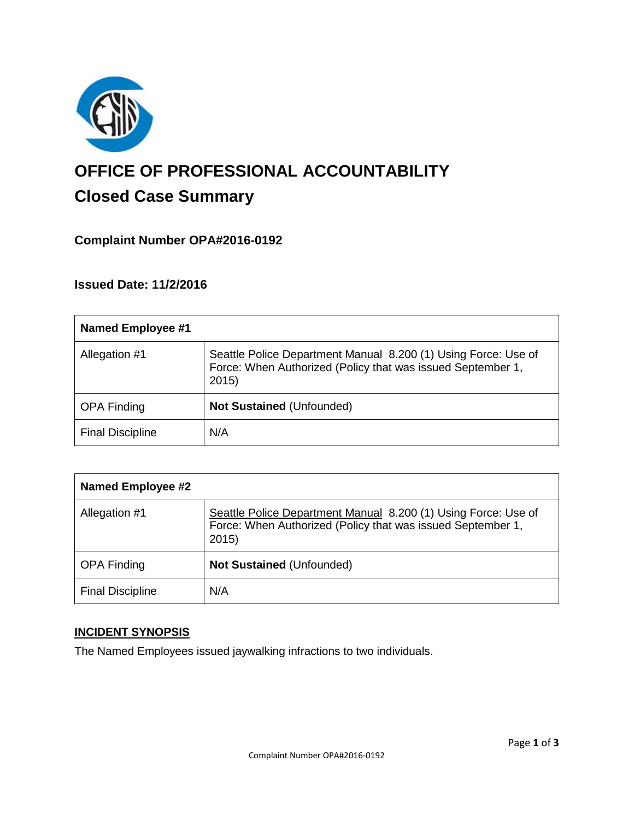

# **OFFICE OF PROFESSIONAL ACCOUNTABILITY Closed Case Summary**

# **Complaint Number OPA#2016-0192**

# **Issued Date: 11/2/2016**

| <b>Named Employee #1</b> |                                                                                                                                       |
|--------------------------|---------------------------------------------------------------------------------------------------------------------------------------|
| Allegation #1            | Seattle Police Department Manual 8.200 (1) Using Force: Use of<br>Force: When Authorized (Policy that was issued September 1,<br>2015 |
| <b>OPA Finding</b>       | <b>Not Sustained (Unfounded)</b>                                                                                                      |
| <b>Final Discipline</b>  | N/A                                                                                                                                   |

| <b>Named Employee #2</b> |                                                                                                                                        |
|--------------------------|----------------------------------------------------------------------------------------------------------------------------------------|
| Allegation #1            | Seattle Police Department Manual 8.200 (1) Using Force: Use of<br>Force: When Authorized (Policy that was issued September 1,<br>2015) |
| <b>OPA Finding</b>       | <b>Not Sustained (Unfounded)</b>                                                                                                       |
| <b>Final Discipline</b>  | N/A                                                                                                                                    |

# **INCIDENT SYNOPSIS**

The Named Employees issued jaywalking infractions to two individuals.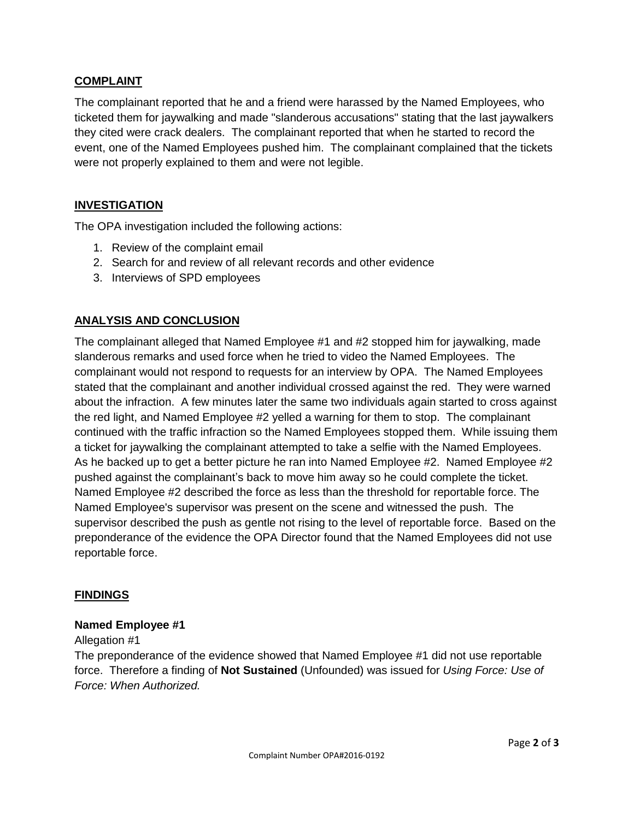# **COMPLAINT**

The complainant reported that he and a friend were harassed by the Named Employees, who ticketed them for jaywalking and made "slanderous accusations" stating that the last jaywalkers they cited were crack dealers. The complainant reported that when he started to record the event, one of the Named Employees pushed him. The complainant complained that the tickets were not properly explained to them and were not legible.

# **INVESTIGATION**

The OPA investigation included the following actions:

- 1. Review of the complaint email
- 2. Search for and review of all relevant records and other evidence
- 3. Interviews of SPD employees

# **ANALYSIS AND CONCLUSION**

The complainant alleged that Named Employee #1 and #2 stopped him for jaywalking, made slanderous remarks and used force when he tried to video the Named Employees. The complainant would not respond to requests for an interview by OPA. The Named Employees stated that the complainant and another individual crossed against the red. They were warned about the infraction. A few minutes later the same two individuals again started to cross against the red light, and Named Employee #2 yelled a warning for them to stop. The complainant continued with the traffic infraction so the Named Employees stopped them. While issuing them a ticket for jaywalking the complainant attempted to take a selfie with the Named Employees. As he backed up to get a better picture he ran into Named Employee #2. Named Employee #2 pushed against the complainant's back to move him away so he could complete the ticket. Named Employee #2 described the force as less than the threshold for reportable force. The Named Employee's supervisor was present on the scene and witnessed the push. The supervisor described the push as gentle not rising to the level of reportable force. Based on the preponderance of the evidence the OPA Director found that the Named Employees did not use reportable force.

### **FINDINGS**

### **Named Employee #1**

#### Allegation #1

The preponderance of the evidence showed that Named Employee #1 did not use reportable force. Therefore a finding of **Not Sustained** (Unfounded) was issued for *Using Force: Use of Force: When Authorized.*